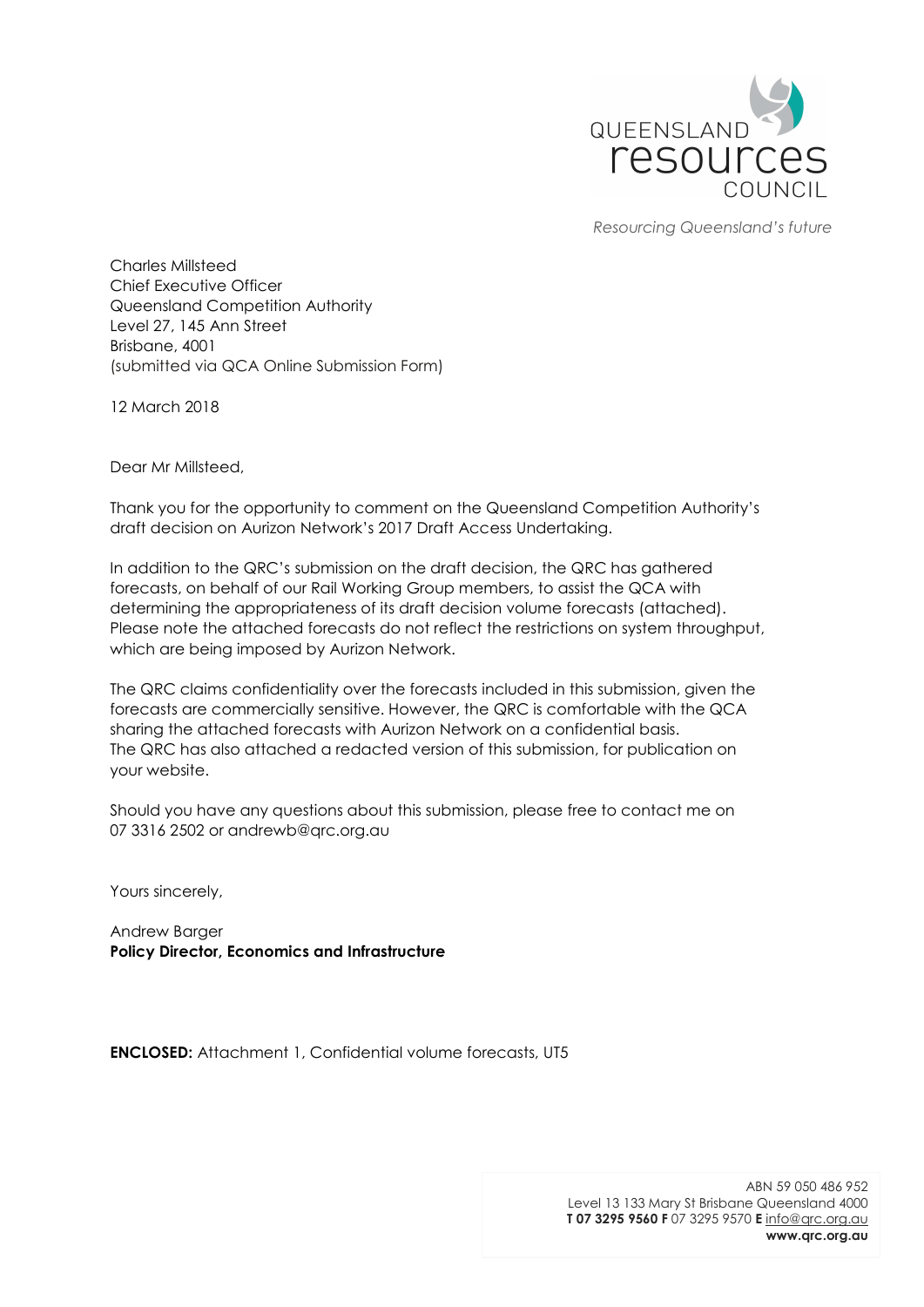

Resourcing Queensland's future

Charles Millsteed Chief Executive Officer Queensland Competition Authority Level 27, 145 Ann Street Brisbane, 4001 (submitted via QCA Online Submission Form)

12 March 2018

Dear Mr Millsteed,

Thank you for the opportunity to comment on the Queensland Competition Authority's draft decision on Aurizon Network's 2017 Draft Access Undertaking.

In addition to the QRC's submission on the draft decision, the QRC has gathered forecasts, on behalf of our Rail Working Group members, to assist the QCA with determining the appropriateness of its draft decision volume forecasts (attached). Please note the attached forecasts do not reflect the restrictions on system throughput, which are being imposed by Aurizon Network.

The QRC claims confidentiality over the forecasts included in this submission, given the forecasts are commercially sensitive. However, the QRC is comfortable with the QCA sharing the attached forecasts with Aurizon Network on a confidential basis. The QRC has also attached a redacted version of this submission, for publication on your website.

Should you have any questions about this submission, please free to contact me on 07 3316 2502 or andrewb@qrc.org.au

Yours sincerely,

Andrew Barger Policy Director, Economics and Infrastructure

ENCLOSED: Attachment 1, Confidential volume forecasts, UT5

ABN 59 050 486 952 Level 13 133 Mary St Brisbane Queensland 4000 T 07 3295 9560 F 07 3295 9570 E info@qrc.org.au www.qrc.org.au